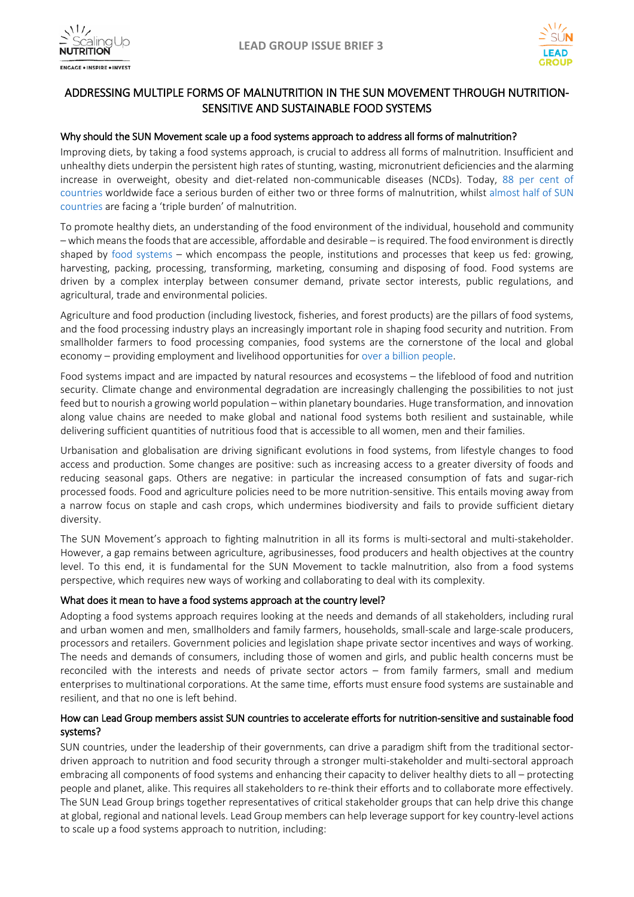



## ADDRESSING MULTIPLE FORMS OF MALNUTRITION IN THE SUN MOVEMENT THROUGH NUTRITION-SENSITIVE AND SUSTAINABLE FOOD SYSTEMS

## Why should the SUN Movement scale up a food systems approach to address all forms of malnutrition?

Improving diets, by taking a food systems approach, is crucial to address all forms of malnutrition. Insufficient and unhealthy diets underpin the persistent high rates of stunting, wasting, micronutrient deficiencies and the alarming increase in overweight, obesity and diet-related non-communicable diseases (NCDs). Today, 88 per [cent](http://globalnutritionreport.org/wp-content/uploads/2017/11/Report_Summary_2017-1.pdf) of [countries](http://globalnutritionreport.org/wp-content/uploads/2017/11/Report_Summary_2017-1.pdf) worldwide face a serious burden of either two or three forms of malnutrition, whilst [almost](http://scalingupnutrition.org/progress-impact/monitoring-evaluation-accountability-learning-meal/) half of SUN [countries](http://scalingupnutrition.org/progress-impact/monitoring-evaluation-accountability-learning-meal/) are facing a 'triple burden' of malnutrition.

To promote healthy diets, an understanding of the food environment of the individual, household and community – which meansthe foodsthat are accessible, affordable and desirable – isrequired. The food environment is directly shaped by food [systems](http://www.fao.org/3/a-i7848e.pdf) – which encompass the people, institutions and processes that keep us fed: growing, harvesting, packing, processing, transforming, marketing, consuming and disposing of food. Food systems are driven by a complex interplay between consumer demand, private sector interests, public regulations, and agricultural, trade and environmental policies.

Agriculture and food production (including livestock, fisheries, and forest products) are the pillars of food systems, and the food processing industry plays an increasingly important role in shaping food security and nutrition. From smallholder farmers to food processing companies, food systems are the cornerstone of the local and global economy – providing employment and livelihood opportunities for over a billion [people.](http://www.fao.org/docrep/015/i2490e/i2490e01b.pdf)

Food systems impact and are impacted by natural resources and ecosystems – the lifeblood of food and nutrition security. Climate change and environmental degradation are increasingly challenging the possibilities to not just feed but to nourish a growing world population – within planetary boundaries. Huge transformation, and innovation along value chains are needed to make global and national food systems both resilient and sustainable, while delivering sufficient quantities of nutritious food that is accessible to all women, men and their families.

Urbanisation and globalisation are driving significant evolutions in food systems, from lifestyle changes to food access and production. Some changes are positive: such as increasing access to a greater diversity of foods and reducing seasonal gaps. Others are negative: in particular the increased consumption of fats and sugar-rich processed foods. Food and agriculture policies need to be more nutrition-sensitive. This entails moving away from a narrow focus on staple and cash crops, which undermines biodiversity and fails to provide sufficient dietary diversity.

The SUN Movement's approach to fighting malnutrition in all its forms is multi-sectoral and multi-stakeholder. However, a gap remains between agriculture, agribusinesses, food producers and health objectives at the country level. To this end, it is fundamental for the SUN Movement to tackle malnutrition, also from a food systems perspective, which requires new ways of working and collaborating to deal with its complexity.

## What does it mean to have a food systems approach at the country level?

Adopting a food systems approach requires looking at the needs and demands of all stakeholders, including rural and urban women and men, smallholders and family farmers, households, small-scale and large-scale producers, processors and retailers. Government policies and legislation shape private sector incentives and ways of working. The needs and demands of consumers, including those of women and girls, and public health concerns must be reconciled with the interests and needs of private sector actors – from family farmers, small and medium enterprises to multinational corporations. At the same time, efforts must ensure food systems are sustainable and resilient, and that no one is left behind.

## How can Lead Group members assist SUN countries to accelerate efforts for nutrition-sensitive and sustainable food systems?

SUN countries, under the leadership of their governments, can drive a paradigm shift from the traditional sectordriven approach to nutrition and food security through a stronger multi-stakeholder and multi-sectoral approach embracing all components of food systems and enhancing their capacity to deliver healthy diets to all – protecting people and planet, alike. This requires all stakeholders to re-think their efforts and to collaborate more effectively. The SUN Lead Group brings together representatives of critical stakeholder groups that can help drive this change at global, regional and national levels. Lead Group members can help leverage support for key country-level actions to scale up a food systems approach to nutrition, including: